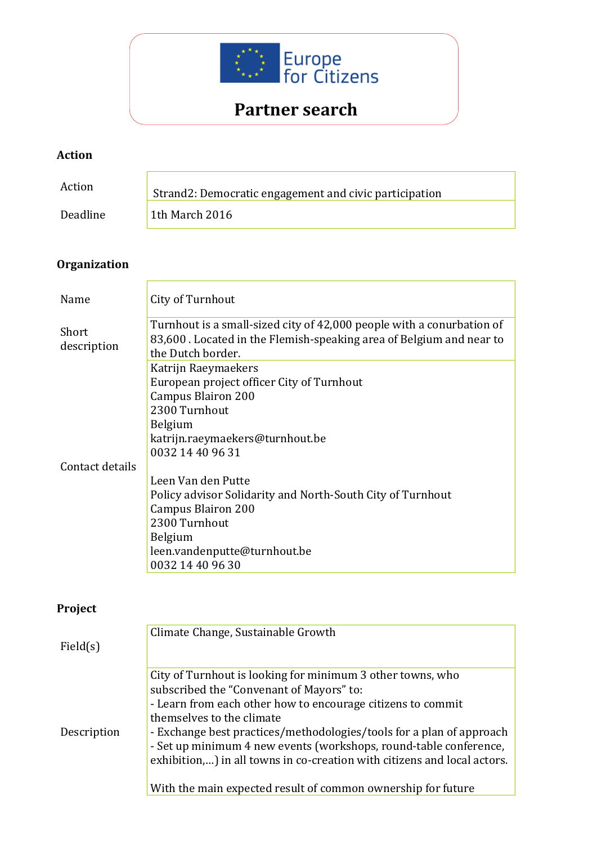

# **Partner search**

#### **Action**

| Action   | Strand2: Democratic engagement and civic participation |
|----------|--------------------------------------------------------|
| Deadline | 1th March 2016                                         |

## **Organization**

| Name                 | City of Turnhout                                                                                                                                                  |
|----------------------|-------------------------------------------------------------------------------------------------------------------------------------------------------------------|
| Short<br>description | Turnhout is a small-sized city of 42,000 people with a conurbation of<br>83,600. Located in the Flemish-speaking area of Belgium and near to<br>the Dutch border. |
|                      | Katrijn Raeymaekers                                                                                                                                               |
|                      | European project officer City of Turnhout                                                                                                                         |
|                      | Campus Blairon 200                                                                                                                                                |
|                      | 2300 Turnhout                                                                                                                                                     |
|                      | <b>Belgium</b>                                                                                                                                                    |
|                      | katrijn.raeymaekers@turnhout.be                                                                                                                                   |
|                      | 0032 14 40 96 31                                                                                                                                                  |
| Contact details      |                                                                                                                                                                   |
|                      | Leen Van den Putte                                                                                                                                                |
|                      | Policy advisor Solidarity and North-South City of Turnhout                                                                                                        |
|                      | <b>Campus Blairon 200</b>                                                                                                                                         |
|                      | 2300 Turnhout                                                                                                                                                     |
|                      | <b>Belgium</b>                                                                                                                                                    |
|                      | leen.vandenputte@turnhout.be                                                                                                                                      |
|                      | 0032 14 40 96 30                                                                                                                                                  |

#### **Project**

|             | Climate Change, Sustainable Growth                                       |
|-------------|--------------------------------------------------------------------------|
| Field(s)    |                                                                          |
|             |                                                                          |
|             | City of Turnhout is looking for minimum 3 other towns, who               |
|             | subscribed the "Convenant of Mayors" to:                                 |
|             | - Learn from each other how to encourage citizens to commit              |
|             | themselves to the climate                                                |
| Description | - Exchange best practices/methodologies/tools for a plan of approach     |
|             | - Set up minimum 4 new events (workshops, round-table conference,        |
|             | exhibition,) in all towns in co-creation with citizens and local actors. |
|             |                                                                          |
|             | With the main expected result of common ownership for future             |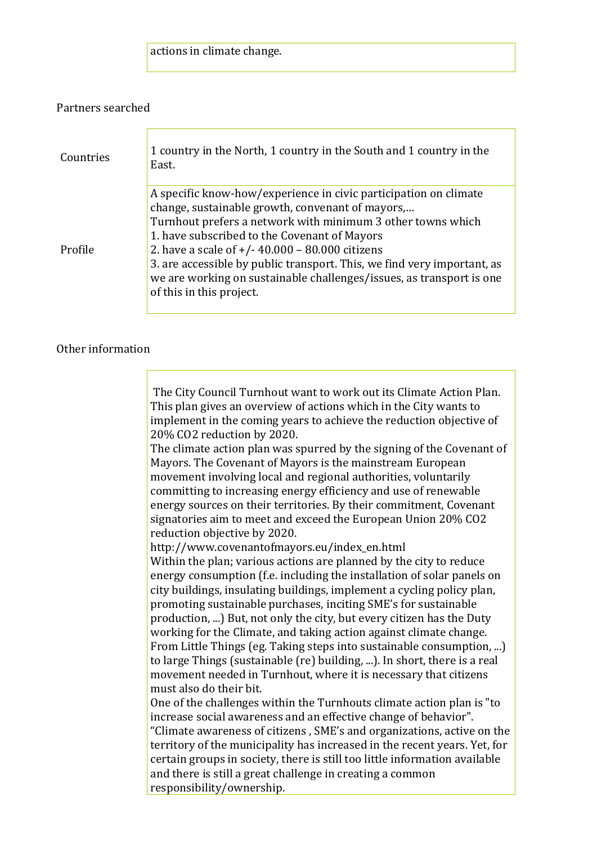### actions in climate change.

#### Partners searched

| Countries | 1 country in the North, 1 country in the South and 1 country in the<br>East.                                                                                                                                                                                                                                                                                                                                                                                            |
|-----------|-------------------------------------------------------------------------------------------------------------------------------------------------------------------------------------------------------------------------------------------------------------------------------------------------------------------------------------------------------------------------------------------------------------------------------------------------------------------------|
| Profile   | A specific know-how/experience in civic participation on climate<br>change, sustainable growth, convenant of mayors,<br>Turnhout prefers a network with minimum 3 other towns which<br>1. have subscribed to the Covenant of Mayors<br>2. have a scale of $+/- 40.000 - 80.000$ citizens<br>3. are accessible by public transport. This, we find very important, as<br>we are working on sustainable challenges/issues, as transport is one<br>of this in this project. |

#### Other information

| The City Council Turnhout want to work out its Climate Action Plan.                                                                              |
|--------------------------------------------------------------------------------------------------------------------------------------------------|
| This plan gives an overview of actions which in the City wants to                                                                                |
| implement in the coming years to achieve the reduction objective of                                                                              |
| 20% CO2 reduction by 2020.                                                                                                                       |
| The climate action plan was spurred by the signing of the Covenant of                                                                            |
| Mayors. The Covenant of Mayors is the mainstream European                                                                                        |
| movement involving local and regional authorities, voluntarily                                                                                   |
| committing to increasing energy efficiency and use of renewable                                                                                  |
| energy sources on their territories. By their commitment, Covenant                                                                               |
| signatories aim to meet and exceed the European Union 20% CO2                                                                                    |
| reduction objective by 2020.                                                                                                                     |
| http://www.covenantofmayors.eu/index_en.html                                                                                                     |
| Within the plan; various actions are planned by the city to reduce                                                                               |
| energy consumption (f.e. including the installation of solar panels on                                                                           |
| city buildings, insulating buildings, implement a cycling policy plan,                                                                           |
| promoting sustainable purchases, inciting SME's for sustainable                                                                                  |
| production, ) But, not only the city, but every citizen has the Duty                                                                             |
| working for the Climate, and taking action against climate change.                                                                               |
|                                                                                                                                                  |
| From Little Things (eg. Taking steps into sustainable consumption, )<br>to large Things (sustainable (re) building, ). In short, there is a real |
| movement needed in Turnhout, where it is necessary that citizens                                                                                 |
| must also do their bit.                                                                                                                          |
| One of the challenges within the Turnhouts climate action plan is "to                                                                            |
|                                                                                                                                                  |
| increase social awareness and an effective change of behavior".                                                                                  |
| "Climate awareness of citizens, SME's and organizations, active on the                                                                           |
| territory of the municipality has increased in the recent years. Yet, for                                                                        |
| certain groups in society, there is still too little information available                                                                       |
| and there is still a great challenge in creating a common<br>responsibility/ownership.                                                           |
|                                                                                                                                                  |